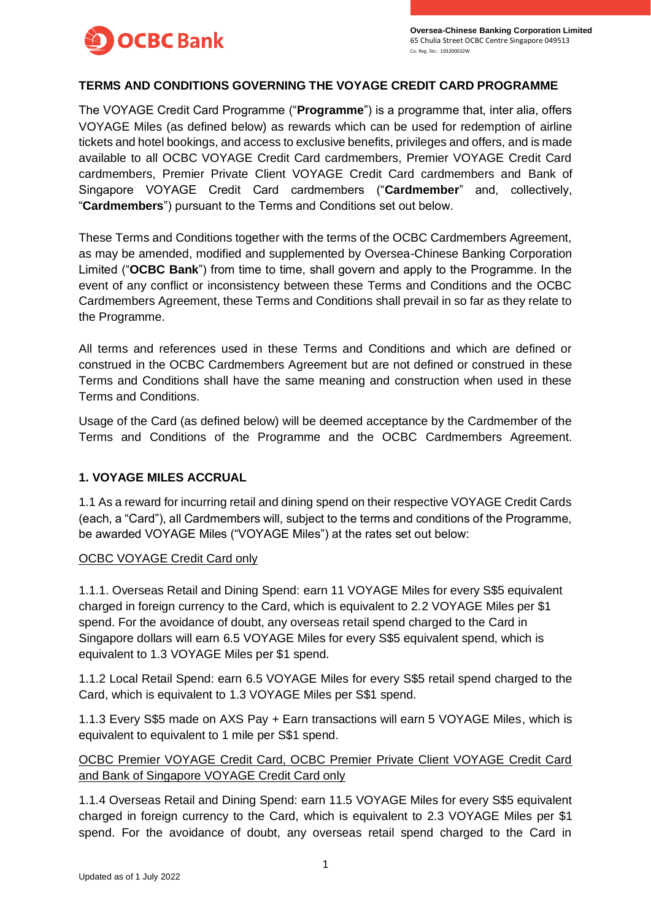

### **TERMS AND CONDITIONS GOVERNING THE VOYAGE CREDIT CARD PROGRAMME**

The VOYAGE Credit Card Programme ("**Programme**") is a programme that, inter alia, offers VOYAGE Miles (as defined below) as rewards which can be used for redemption of airline tickets and hotel bookings, and access to exclusive benefits, privileges and offers, and is made available to all OCBC VOYAGE Credit Card cardmembers, Premier VOYAGE Credit Card cardmembers, Premier Private Client VOYAGE Credit Card cardmembers and Bank of Singapore VOYAGE Credit Card cardmembers ("**Cardmember**" and, collectively, "**Cardmembers**") pursuant to the Terms and Conditions set out below.

These Terms and Conditions together with the terms of the OCBC Cardmembers Agreement, as may be amended, modified and supplemented by Oversea-Chinese Banking Corporation Limited ("**OCBC Bank**") from time to time, shall govern and apply to the Programme. In the event of any conflict or inconsistency between these Terms and Conditions and the OCBC Cardmembers Agreement, these Terms and Conditions shall prevail in so far as they relate to the Programme.

All terms and references used in these Terms and Conditions and which are defined or construed in the OCBC Cardmembers Agreement but are not defined or construed in these Terms and Conditions shall have the same meaning and construction when used in these Terms and Conditions.

Usage of the Card (as defined below) will be deemed acceptance by the Cardmember of the Terms and Conditions of the Programme and the OCBC Cardmembers Agreement.

### **1. VOYAGE MILES ACCRUAL**

1.1 As a reward for incurring retail and dining spend on their respective VOYAGE Credit Cards (each, a "Card"), all Cardmembers will, subject to the terms and conditions of the Programme, be awarded VOYAGE Miles ("VOYAGE Miles") at the rates set out below:

### OCBC VOYAGE Credit Card only

1.1.1. Overseas Retail and Dining Spend: earn 11 VOYAGE Miles for every S\$5 equivalent charged in foreign currency to the Card, which is equivalent to 2.2 VOYAGE Miles per \$1 spend. For the avoidance of doubt, any overseas retail spend charged to the Card in Singapore dollars will earn 6.5 VOYAGE Miles for every S\$5 equivalent spend, which is equivalent to 1.3 VOYAGE Miles per \$1 spend.

1.1.2 Local Retail Spend: earn 6.5 VOYAGE Miles for every S\$5 retail spend charged to the Card, which is equivalent to 1.3 VOYAGE Miles per S\$1 spend.

1.1.3 Every S\$5 made on AXS Pay + Earn transactions will earn 5 VOYAGE Miles, which is equivalent to equivalent to 1 mile per S\$1 spend.

OCBC Premier VOYAGE Credit Card, OCBC Premier Private Client VOYAGE Credit Card and Bank of Singapore VOYAGE Credit Card only

1.1.4 Overseas Retail and Dining Spend: earn 11.5 VOYAGE Miles for every S\$5 equivalent charged in foreign currency to the Card, which is equivalent to 2.3 VOYAGE Miles per \$1 spend. For the avoidance of doubt, any overseas retail spend charged to the Card in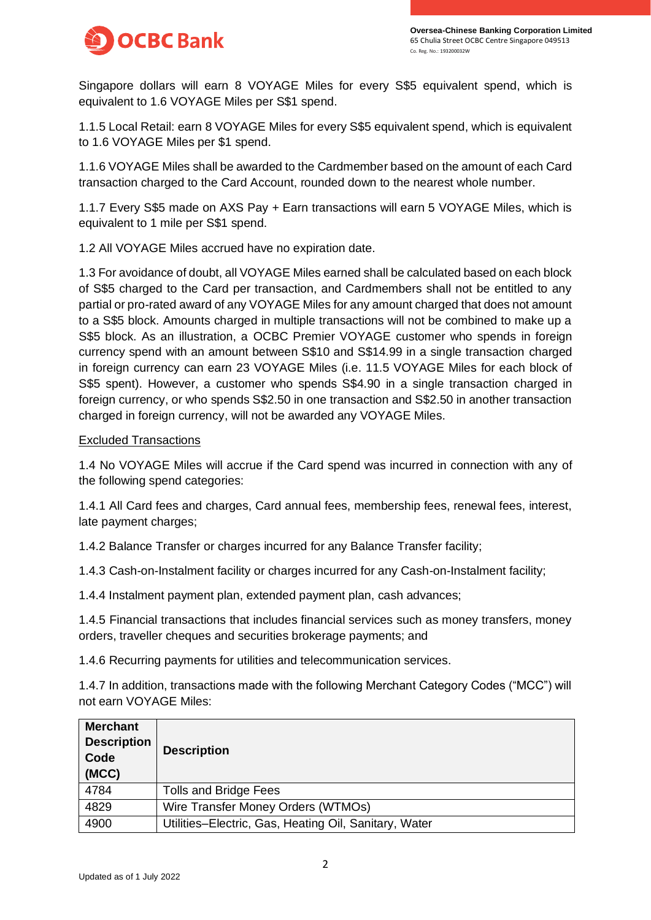

Singapore dollars will earn 8 VOYAGE Miles for every S\$5 equivalent spend, which is equivalent to 1.6 VOYAGE Miles per S\$1 spend.

1.1.5 Local Retail: earn 8 VOYAGE Miles for every S\$5 equivalent spend, which is equivalent to 1.6 VOYAGE Miles per \$1 spend.

1.1.6 VOYAGE Miles shall be awarded to the Cardmember based on the amount of each Card transaction charged to the Card Account, rounded down to the nearest whole number.

1.1.7 Every S\$5 made on AXS Pay + Earn transactions will earn 5 VOYAGE Miles, which is equivalent to 1 mile per S\$1 spend.

1.2 All VOYAGE Miles accrued have no expiration date.

1.3 For avoidance of doubt, all VOYAGE Miles earned shall be calculated based on each block of S\$5 charged to the Card per transaction, and Cardmembers shall not be entitled to any partial or pro-rated award of any VOYAGE Miles for any amount charged that does not amount to a S\$5 block. Amounts charged in multiple transactions will not be combined to make up a S\$5 block. As an illustration, a OCBC Premier VOYAGE customer who spends in foreign currency spend with an amount between S\$10 and S\$14.99 in a single transaction charged in foreign currency can earn 23 VOYAGE Miles (i.e. 11.5 VOYAGE Miles for each block of S\$5 spent). However, a customer who spends S\$4.90 in a single transaction charged in foreign currency, or who spends S\$2.50 in one transaction and S\$2.50 in another transaction charged in foreign currency, will not be awarded any VOYAGE Miles.

#### Excluded Transactions

1.4 No VOYAGE Miles will accrue if the Card spend was incurred in connection with any of the following spend categories:

1.4.1 All Card fees and charges, Card annual fees, membership fees, renewal fees, interest, late payment charges;

1.4.2 Balance Transfer or charges incurred for any Balance Transfer facility;

1.4.3 Cash-on-Instalment facility or charges incurred for any Cash-on-Instalment facility;

1.4.4 Instalment payment plan, extended payment plan, cash advances;

1.4.5 Financial transactions that includes financial services such as money transfers, money orders, traveller cheques and securities brokerage payments; and

1.4.6 Recurring payments for utilities and telecommunication services.

1.4.7 In addition, transactions made with the following Merchant Category Codes ("MCC") will not earn VOYAGE Miles:

| <b>Merchant</b><br><b>Description</b><br>Code<br>(MCC) | <b>Description</b>                                    |
|--------------------------------------------------------|-------------------------------------------------------|
| 4784                                                   | Tolls and Bridge Fees                                 |
| 4829                                                   | Wire Transfer Money Orders (WTMOs)                    |
| 4900                                                   | Utilities-Electric, Gas, Heating Oil, Sanitary, Water |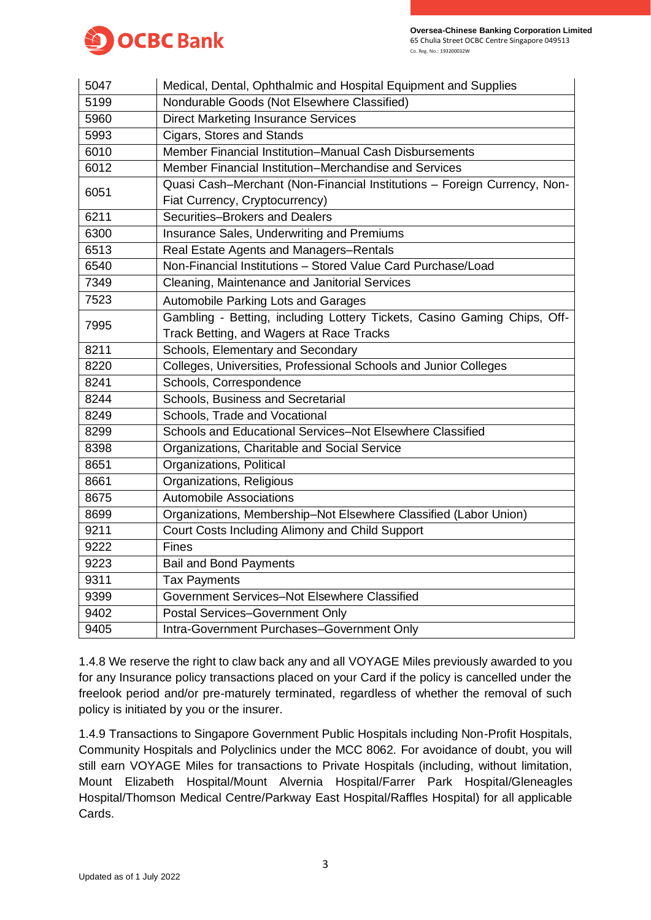

| 5047 | Medical, Dental, Ophthalmic and Hospital Equipment and Supplies          |
|------|--------------------------------------------------------------------------|
| 5199 | Nondurable Goods (Not Elsewhere Classified)                              |
| 5960 | <b>Direct Marketing Insurance Services</b>                               |
| 5993 | Cigars, Stores and Stands                                                |
| 6010 | Member Financial Institution–Manual Cash Disbursements                   |
| 6012 | Member Financial Institution–Merchandise and Services                    |
| 6051 | Quasi Cash-Merchant (Non-Financial Institutions - Foreign Currency, Non- |
|      | Fiat Currency, Cryptocurrency)                                           |
| 6211 | Securities-Brokers and Dealers                                           |
| 6300 | Insurance Sales, Underwriting and Premiums                               |
| 6513 | Real Estate Agents and Managers-Rentals                                  |
| 6540 | Non-Financial Institutions - Stored Value Card Purchase/Load             |
| 7349 | Cleaning, Maintenance and Janitorial Services                            |
| 7523 | Automobile Parking Lots and Garages                                      |
| 7995 | Gambling - Betting, including Lottery Tickets, Casino Gaming Chips, Off- |
|      | Track Betting, and Wagers at Race Tracks                                 |
| 8211 | Schools, Elementary and Secondary                                        |
| 8220 | Colleges, Universities, Professional Schools and Junior Colleges         |
| 8241 | Schools, Correspondence                                                  |
| 8244 | Schools, Business and Secretarial                                        |
| 8249 | Schools, Trade and Vocational                                            |
| 8299 | Schools and Educational Services-Not Elsewhere Classified                |
| 8398 | Organizations, Charitable and Social Service                             |
| 8651 | Organizations, Political                                                 |
| 8661 | Organizations, Religious                                                 |
| 8675 | <b>Automobile Associations</b>                                           |
| 8699 | Organizations, Membership-Not Elsewhere Classified (Labor Union)         |
| 9211 | Court Costs Including Alimony and Child Support                          |
| 9222 | <b>Fines</b>                                                             |
| 9223 | <b>Bail and Bond Payments</b>                                            |
| 9311 | <b>Tax Payments</b>                                                      |
| 9399 | Government Services-Not Elsewhere Classified                             |
| 9402 | Postal Services-Government Only                                          |
| 9405 | Intra-Government Purchases-Government Only                               |

1.4.8 We reserve the right to claw back any and all VOYAGE Miles previously awarded to you for any Insurance policy transactions placed on your Card if the policy is cancelled under the freelook period and/or pre-maturely terminated, regardless of whether the removal of such policy is initiated by you or the insurer.

1.4.9 Transactions to Singapore Government Public Hospitals including Non-Profit Hospitals, Community Hospitals and Polyclinics under the MCC 8062. For avoidance of doubt, you will still earn VOYAGE Miles for transactions to Private Hospitals (including, without limitation, Mount Elizabeth Hospital/Mount Alvernia Hospital/Farrer Park Hospital/Gleneagles Hospital/Thomson Medical Centre/Parkway East Hospital/Raffles Hospital) for all applicable Cards.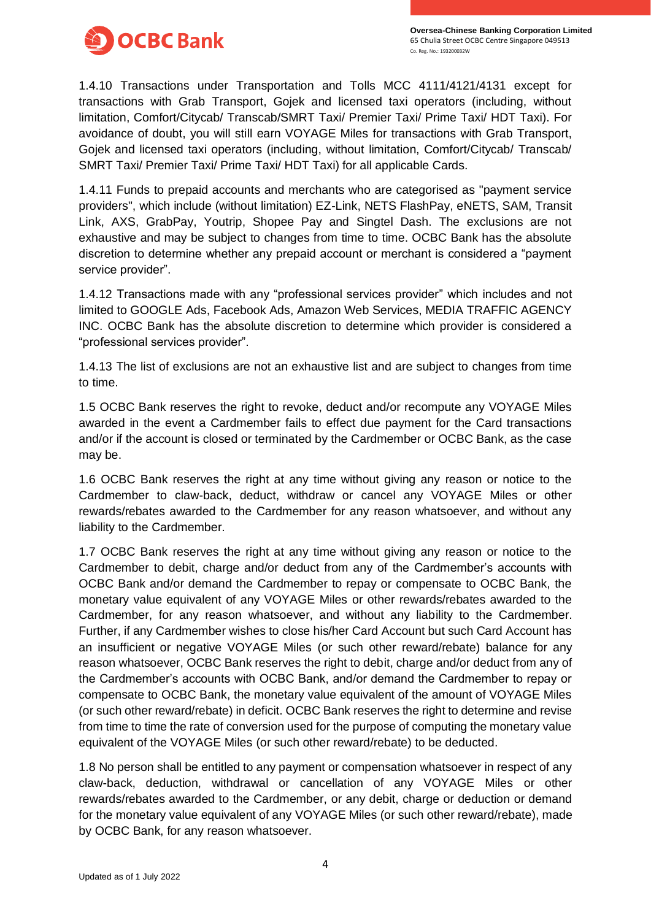

1.4.10 Transactions under Transportation and Tolls MCC 4111/4121/4131 except for transactions with Grab Transport, Gojek and licensed taxi operators (including, without limitation, Comfort/Citycab/ Transcab/SMRT Taxi/ Premier Taxi/ Prime Taxi/ HDT Taxi). For avoidance of doubt, you will still earn VOYAGE Miles for transactions with Grab Transport, Gojek and licensed taxi operators (including, without limitation, Comfort/Citycab/ Transcab/ SMRT Taxi/ Premier Taxi/ Prime Taxi/ HDT Taxi) for all applicable Cards.

1.4.11 Funds to prepaid accounts and merchants who are categorised as "payment service providers", which include (without limitation) EZ-Link, NETS FlashPay, eNETS, SAM, Transit Link, AXS, GrabPay, Youtrip, Shopee Pay and Singtel Dash. The exclusions are not exhaustive and may be subject to changes from time to time. OCBC Bank has the absolute discretion to determine whether any prepaid account or merchant is considered a "payment service provider".

1.4.12 Transactions made with any "professional services provider" which includes and not limited to GOOGLE Ads, Facebook Ads, Amazon Web Services, MEDIA TRAFFIC AGENCY INC. OCBC Bank has the absolute discretion to determine which provider is considered a "professional services provider".

1.4.13 The list of exclusions are not an exhaustive list and are subject to changes from time to time.

1.5 OCBC Bank reserves the right to revoke, deduct and/or recompute any VOYAGE Miles awarded in the event a Cardmember fails to effect due payment for the Card transactions and/or if the account is closed or terminated by the Cardmember or OCBC Bank, as the case may be.

1.6 OCBC Bank reserves the right at any time without giving any reason or notice to the Cardmember to claw-back, deduct, withdraw or cancel any VOYAGE Miles or other rewards/rebates awarded to the Cardmember for any reason whatsoever, and without any liability to the Cardmember.

1.7 OCBC Bank reserves the right at any time without giving any reason or notice to the Cardmember to debit, charge and/or deduct from any of the Cardmember's accounts with OCBC Bank and/or demand the Cardmember to repay or compensate to OCBC Bank, the monetary value equivalent of any VOYAGE Miles or other rewards/rebates awarded to the Cardmember, for any reason whatsoever, and without any liability to the Cardmember. Further, if any Cardmember wishes to close his/her Card Account but such Card Account has an insufficient or negative VOYAGE Miles (or such other reward/rebate) balance for any reason whatsoever, OCBC Bank reserves the right to debit, charge and/or deduct from any of the Cardmember's accounts with OCBC Bank, and/or demand the Cardmember to repay or compensate to OCBC Bank, the monetary value equivalent of the amount of VOYAGE Miles (or such other reward/rebate) in deficit. OCBC Bank reserves the right to determine and revise from time to time the rate of conversion used for the purpose of computing the monetary value equivalent of the VOYAGE Miles (or such other reward/rebate) to be deducted.

1.8 No person shall be entitled to any payment or compensation whatsoever in respect of any claw-back, deduction, withdrawal or cancellation of any VOYAGE Miles or other rewards/rebates awarded to the Cardmember, or any debit, charge or deduction or demand for the monetary value equivalent of any VOYAGE Miles (or such other reward/rebate), made by OCBC Bank, for any reason whatsoever.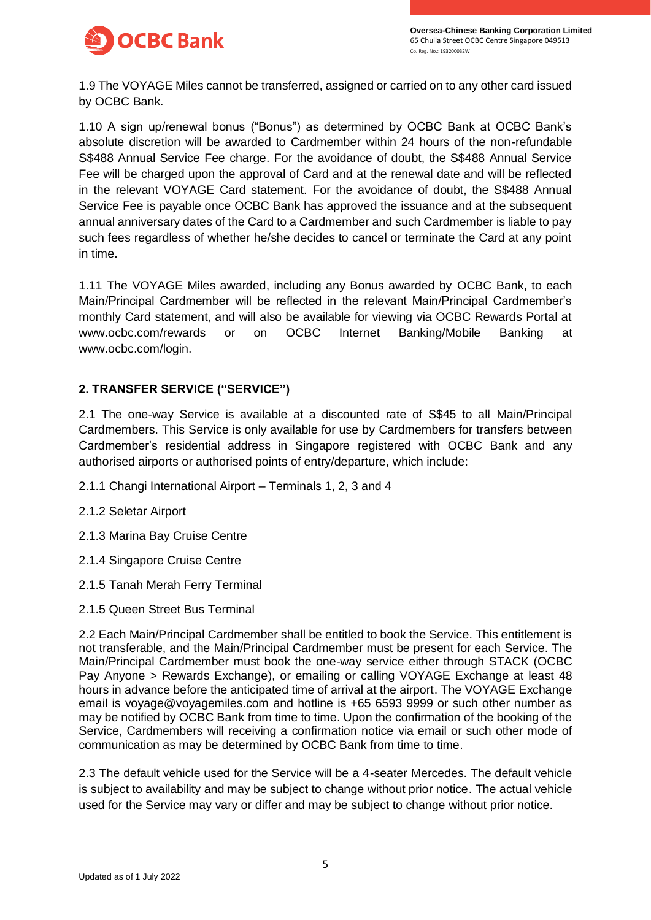

1.9 The VOYAGE Miles cannot be transferred, assigned or carried on to any other card issued by OCBC Bank.

1.10 A sign up/renewal bonus ("Bonus") as determined by OCBC Bank at OCBC Bank's absolute discretion will be awarded to Cardmember within 24 hours of the non-refundable S\$488 Annual Service Fee charge. For the avoidance of doubt, the S\$488 Annual Service Fee will be charged upon the approval of Card and at the renewal date and will be reflected in the relevant VOYAGE Card statement. For the avoidance of doubt, the S\$488 Annual Service Fee is payable once OCBC Bank has approved the issuance and at the subsequent annual anniversary dates of the Card to a Cardmember and such Cardmember is liable to pay such fees regardless of whether he/she decides to cancel or terminate the Card at any point in time.

1.11 The VOYAGE Miles awarded, including any Bonus awarded by OCBC Bank, to each Main/Principal Cardmember will be reflected in the relevant Main/Principal Cardmember's monthly Card statement, and will also be available for viewing via OCBC Rewards Portal at www.ocbc.com/rewards or on OCBC Internet Banking/Mobile Banking at [www.ocbc.com/login.](http://www.ocbc.com/login)

### **2. TRANSFER SERVICE ("SERVICE")**

2.1 The one-way Service is available at a discounted rate of S\$45 to all Main/Principal Cardmembers. This Service is only available for use by Cardmembers for transfers between Cardmember's residential address in Singapore registered with OCBC Bank and any authorised airports or authorised points of entry/departure, which include:

- 2.1.1 Changi International Airport Terminals 1, 2, 3 and 4
- 2.1.2 Seletar Airport
- 2.1.3 Marina Bay Cruise Centre
- 2.1.4 Singapore Cruise Centre
- 2.1.5 Tanah Merah Ferry Terminal
- 2.1.5 Queen Street Bus Terminal

2.2 Each Main/Principal Cardmember shall be entitled to book the Service. This entitlement is not transferable, and the Main/Principal Cardmember must be present for each Service. The Main/Principal Cardmember must book the one-way service either through STACK (OCBC Pay Anyone > Rewards Exchange), or emailing or calling VOYAGE Exchange at least 48 hours in advance before the anticipated time of arrival at the airport. The VOYAGE Exchange email is voyage@voyagemiles.com and hotline is +65 6593 9999 or such other number as may be notified by OCBC Bank from time to time. Upon the confirmation of the booking of the Service, Cardmembers will receiving a confirmation notice via email or such other mode of communication as may be determined by OCBC Bank from time to time.

2.3 The default vehicle used for the Service will be a 4-seater Mercedes. The default vehicle is subject to availability and may be subject to change without prior notice. The actual vehicle used for the Service may vary or differ and may be subject to change without prior notice.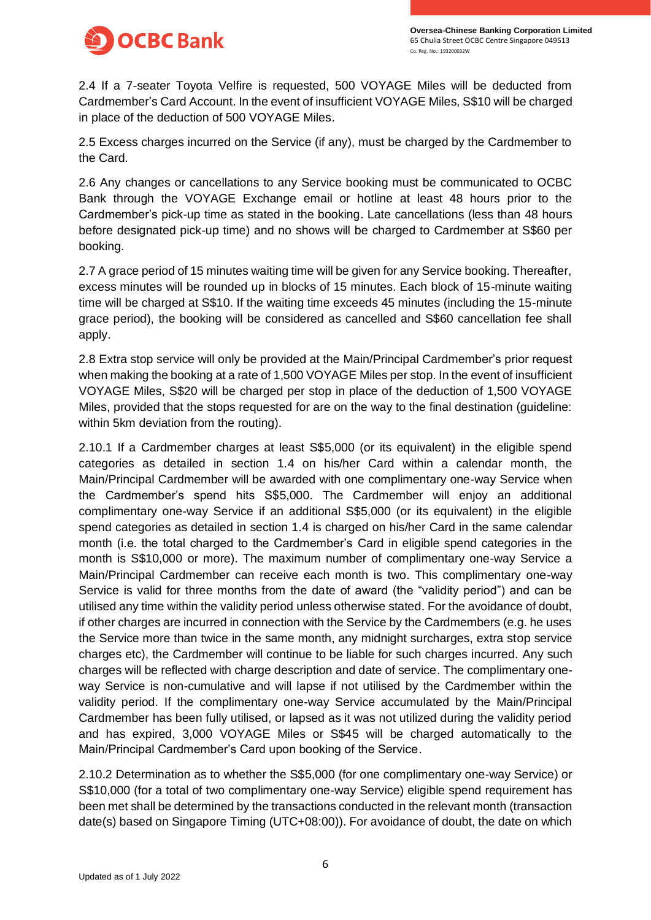

2.4 If a 7-seater Toyota Velfire is requested, 500 VOYAGE Miles will be deducted from Cardmember's Card Account. In the event of insufficient VOYAGE Miles, S\$10 will be charged in place of the deduction of 500 VOYAGE Miles.

2.5 Excess charges incurred on the Service (if any), must be charged by the Cardmember to the Card.

2.6 Any changes or cancellations to any Service booking must be communicated to OCBC Bank through the VOYAGE Exchange email or hotline at least 48 hours prior to the Cardmember's pick-up time as stated in the booking. Late cancellations (less than 48 hours before designated pick-up time) and no shows will be charged to Cardmember at S\$60 per booking.

2.7 A grace period of 15 minutes waiting time will be given for any Service booking. Thereafter, excess minutes will be rounded up in blocks of 15 minutes. Each block of 15-minute waiting time will be charged at S\$10. If the waiting time exceeds 45 minutes (including the 15-minute grace period), the booking will be considered as cancelled and S\$60 cancellation fee shall apply.

2.8 Extra stop service will only be provided at the Main/Principal Cardmember's prior request when making the booking at a rate of 1,500 VOYAGE Miles per stop. In the event of insufficient VOYAGE Miles, S\$20 will be charged per stop in place of the deduction of 1,500 VOYAGE Miles, provided that the stops requested for are on the way to the final destination (guideline: within 5km deviation from the routing).

2.10.1 If a Cardmember charges at least S\$5,000 (or its equivalent) in the eligible spend categories as detailed in section 1.4 on his/her Card within a calendar month, the Main/Principal Cardmember will be awarded with one complimentary one-way Service when the Cardmember's spend hits S\$5,000. The Cardmember will enjoy an additional complimentary one-way Service if an additional S\$5,000 (or its equivalent) in the eligible spend categories as detailed in section 1.4 is charged on his/her Card in the same calendar month (i.e. the total charged to the Cardmember's Card in eligible spend categories in the month is S\$10,000 or more). The maximum number of complimentary one-way Service a Main/Principal Cardmember can receive each month is two. This complimentary one-way Service is valid for three months from the date of award (the "validity period") and can be utilised any time within the validity period unless otherwise stated. For the avoidance of doubt, if other charges are incurred in connection with the Service by the Cardmembers (e.g. he uses the Service more than twice in the same month, any midnight surcharges, extra stop service charges etc), the Cardmember will continue to be liable for such charges incurred. Any such charges will be reflected with charge description and date of service. The complimentary oneway Service is non-cumulative and will lapse if not utilised by the Cardmember within the validity period. If the complimentary one-way Service accumulated by the Main/Principal Cardmember has been fully utilised, or lapsed as it was not utilized during the validity period and has expired, 3,000 VOYAGE Miles or S\$45 will be charged automatically to the Main/Principal Cardmember's Card upon booking of the Service.

2.10.2 Determination as to whether the S\$5,000 (for one complimentary one-way Service) or S\$10,000 (for a total of two complimentary one-way Service) eligible spend requirement has been met shall be determined by the transactions conducted in the relevant month (transaction date(s) based on Singapore Timing (UTC+08:00)). For avoidance of doubt, the date on which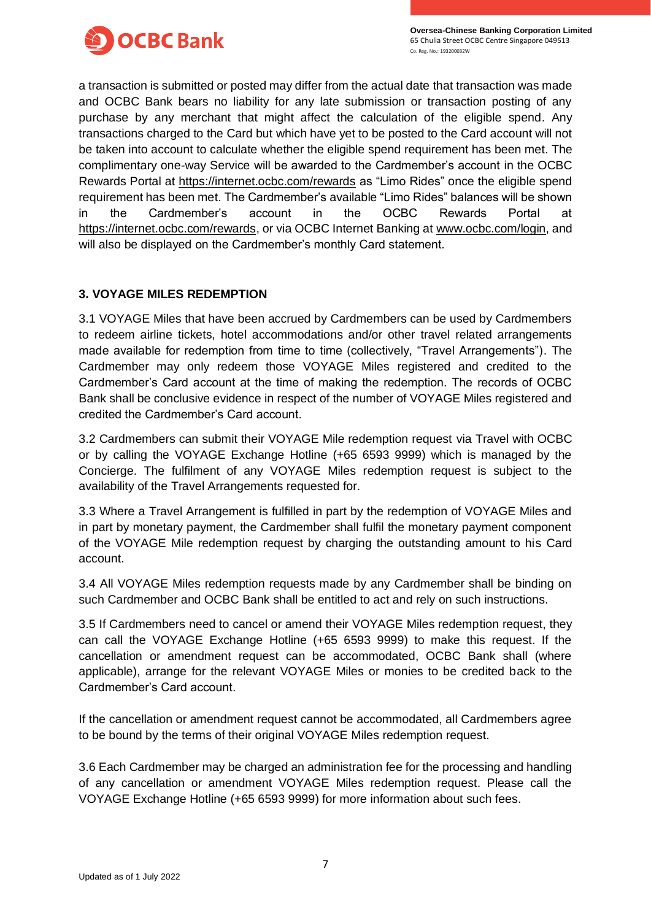

a transaction is submitted or posted may differ from the actual date that transaction was made and OCBC Bank bears no liability for any late submission or transaction posting of any purchase by any merchant that might affect the calculation of the eligible spend. Any transactions charged to the Card but which have yet to be posted to the Card account will not be taken into account to calculate whether the eligible spend requirement has been met. The complimentary one-way Service will be awarded to the Cardmember's account in the OCBC Rewards Portal at<https://internet.ocbc.com/rewards> as "Limo Rides" once the eligible spend requirement has been met. The Cardmember's available "Limo Rides" balances will be shown in the Cardmember's account in the OCBC Rewards Portal at [https://internet.ocbc.com/rewards,](https://internet.ocbc.com/rewards) or via OCBC Internet Banking at [www.ocbc.com/login,](http://www.ocbc.com/login) and will also be displayed on the Cardmember's monthly Card statement.

### **3. VOYAGE MILES REDEMPTION**

3.1 VOYAGE Miles that have been accrued by Cardmembers can be used by Cardmembers to redeem airline tickets, hotel accommodations and/or other travel related arrangements made available for redemption from time to time (collectively, "Travel Arrangements"). The Cardmember may only redeem those VOYAGE Miles registered and credited to the Cardmember's Card account at the time of making the redemption. The records of OCBC Bank shall be conclusive evidence in respect of the number of VOYAGE Miles registered and credited the Cardmember's Card account.

3.2 Cardmembers can submit their VOYAGE Mile redemption request via Travel with OCBC or by calling the VOYAGE Exchange Hotline (+65 6593 9999) which is managed by the Concierge. The fulfilment of any VOYAGE Miles redemption request is subject to the availability of the Travel Arrangements requested for.

3.3 Where a Travel Arrangement is fulfilled in part by the redemption of VOYAGE Miles and in part by monetary payment, the Cardmember shall fulfil the monetary payment component of the VOYAGE Mile redemption request by charging the outstanding amount to his Card account.

3.4 All VOYAGE Miles redemption requests made by any Cardmember shall be binding on such Cardmember and OCBC Bank shall be entitled to act and rely on such instructions.

3.5 If Cardmembers need to cancel or amend their VOYAGE Miles redemption request, they can call the VOYAGE Exchange Hotline (+65 6593 9999) to make this request. If the cancellation or amendment request can be accommodated, OCBC Bank shall (where applicable), arrange for the relevant VOYAGE Miles or monies to be credited back to the Cardmember's Card account.

If the cancellation or amendment request cannot be accommodated, all Cardmembers agree to be bound by the terms of their original VOYAGE Miles redemption request.

3.6 Each Cardmember may be charged an administration fee for the processing and handling of any cancellation or amendment VOYAGE Miles redemption request. Please call the VOYAGE Exchange Hotline (+65 6593 9999) for more information about such fees.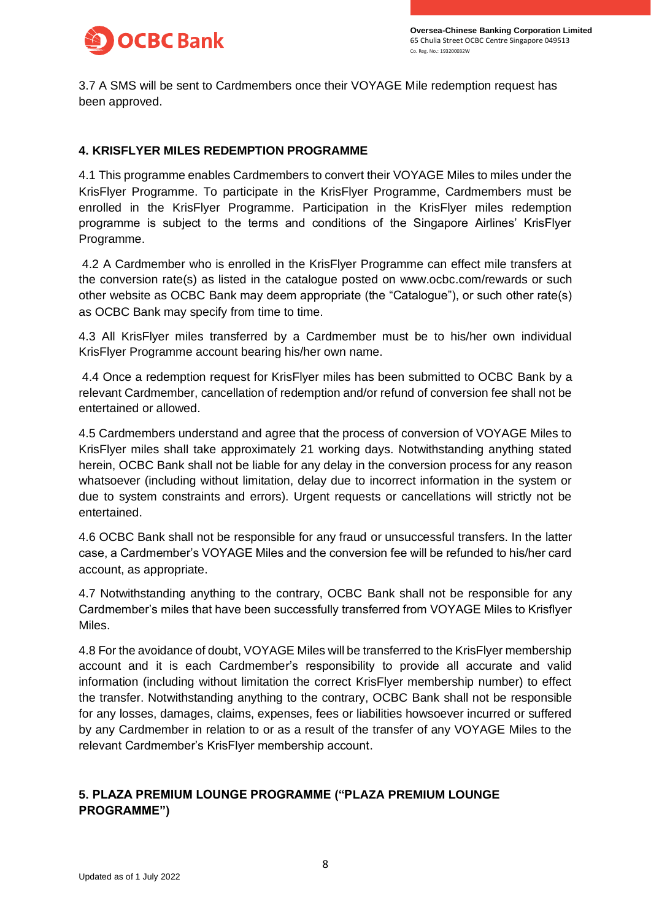

3.7 A SMS will be sent to Cardmembers once their VOYAGE Mile redemption request has been approved.

#### **4. KRISFLYER MILES REDEMPTION PROGRAMME**

4.1 This programme enables Cardmembers to convert their VOYAGE Miles to miles under the KrisFlyer Programme. To participate in the KrisFlyer Programme, Cardmembers must be enrolled in the KrisFlyer Programme. Participation in the KrisFlyer miles redemption programme is subject to the terms and conditions of the Singapore Airlines' KrisFlyer Programme.

4.2 A Cardmember who is enrolled in the KrisFlyer Programme can effect mile transfers at the conversion rate(s) as listed in the catalogue posted on www.ocbc.com/rewards or such other website as OCBC Bank may deem appropriate (the "Catalogue"), or such other rate(s) as OCBC Bank may specify from time to time.

4.3 All KrisFlyer miles transferred by a Cardmember must be to his/her own individual KrisFlyer Programme account bearing his/her own name.

4.4 Once a redemption request for KrisFlyer miles has been submitted to OCBC Bank by a relevant Cardmember, cancellation of redemption and/or refund of conversion fee shall not be entertained or allowed.

4.5 Cardmembers understand and agree that the process of conversion of VOYAGE Miles to KrisFlyer miles shall take approximately 21 working days. Notwithstanding anything stated herein, OCBC Bank shall not be liable for any delay in the conversion process for any reason whatsoever (including without limitation, delay due to incorrect information in the system or due to system constraints and errors). Urgent requests or cancellations will strictly not be entertained.

4.6 OCBC Bank shall not be responsible for any fraud or unsuccessful transfers. In the latter case, a Cardmember's VOYAGE Miles and the conversion fee will be refunded to his/her card account, as appropriate.

4.7 Notwithstanding anything to the contrary, OCBC Bank shall not be responsible for any Cardmember's miles that have been successfully transferred from VOYAGE Miles to Krisflyer Miles.

4.8 For the avoidance of doubt, VOYAGE Miles will be transferred to the KrisFlyer membership account and it is each Cardmember's responsibility to provide all accurate and valid information (including without limitation the correct KrisFlyer membership number) to effect the transfer. Notwithstanding anything to the contrary, OCBC Bank shall not be responsible for any losses, damages, claims, expenses, fees or liabilities howsoever incurred or suffered by any Cardmember in relation to or as a result of the transfer of any VOYAGE Miles to the relevant Cardmember's KrisFlyer membership account.

# **5. PLAZA PREMIUM LOUNGE PROGRAMME ("PLAZA PREMIUM LOUNGE PROGRAMME")**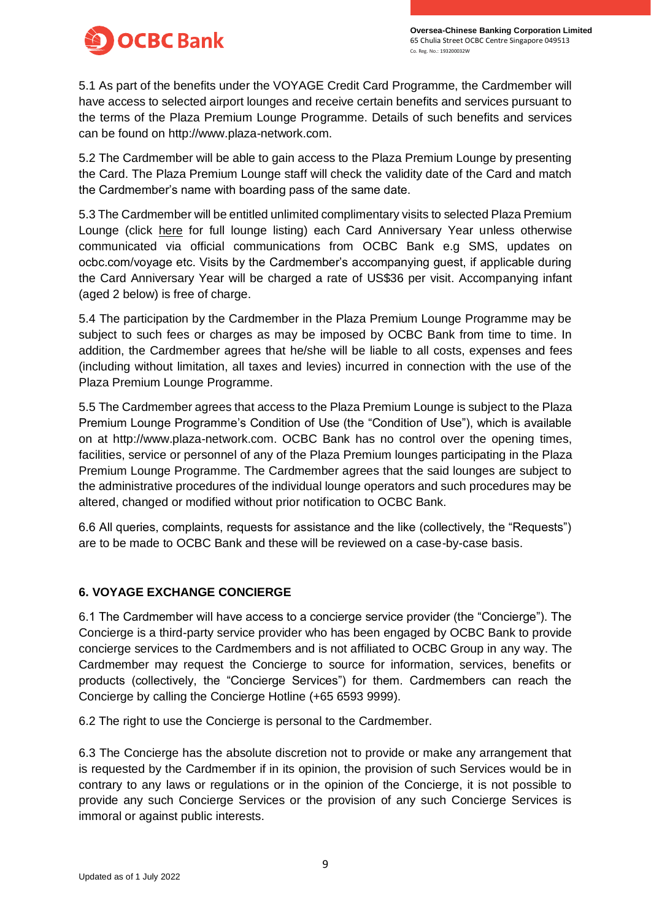



5.1 As part of the benefits under the VOYAGE Credit Card Programme, the Cardmember will have access to selected airport lounges and receive certain benefits and services pursuant to the terms of the Plaza Premium Lounge Programme. Details of such benefits and services can be found on http://www.plaza-network.com.

5.2 The Cardmember will be able to gain access to the Plaza Premium Lounge by presenting the Card. The Plaza Premium Lounge staff will check the validity date of the Card and match the Cardmember's name with boarding pass of the same date.

5.3 The Cardmember will be entitled unlimited complimentary visits to selected Plaza Premium Lounge (click [here](https://www.ocbc.com/iwov-resources/sg/ocbc/personal/pdf/cards/voyage-lounge-locations.pdf) for full lounge listing) each Card Anniversary Year unless otherwise communicated via official communications from OCBC Bank e.g SMS, updates on ocbc.com/voyage etc. Visits by the Cardmember's accompanying guest, if applicable during the Card Anniversary Year will be charged a rate of US\$36 per visit. Accompanying infant (aged 2 below) is free of charge.

5.4 The participation by the Cardmember in the Plaza Premium Lounge Programme may be subject to such fees or charges as may be imposed by OCBC Bank from time to time. In addition, the Cardmember agrees that he/she will be liable to all costs, expenses and fees (including without limitation, all taxes and levies) incurred in connection with the use of the Plaza Premium Lounge Programme.

5.5 The Cardmember agrees that access to the Plaza Premium Lounge is subject to the Plaza Premium Lounge Programme's Condition of Use (the "Condition of Use"), which is available on at http://www.plaza-network.com. OCBC Bank has no control over the opening times, facilities, service or personnel of any of the Plaza Premium lounges participating in the Plaza Premium Lounge Programme. The Cardmember agrees that the said lounges are subject to the administrative procedures of the individual lounge operators and such procedures may be altered, changed or modified without prior notification to OCBC Bank.

6.6 All queries, complaints, requests for assistance and the like (collectively, the "Requests") are to be made to OCBC Bank and these will be reviewed on a case-by-case basis.

## **6. VOYAGE EXCHANGE CONCIERGE**

6.1 The Cardmember will have access to a concierge service provider (the "Concierge"). The Concierge is a third-party service provider who has been engaged by OCBC Bank to provide concierge services to the Cardmembers and is not affiliated to OCBC Group in any way. The Cardmember may request the Concierge to source for information, services, benefits or products (collectively, the "Concierge Services") for them. Cardmembers can reach the Concierge by calling the Concierge Hotline (+65 6593 9999).

6.2 The right to use the Concierge is personal to the Cardmember.

6.3 The Concierge has the absolute discretion not to provide or make any arrangement that is requested by the Cardmember if in its opinion, the provision of such Services would be in contrary to any laws or regulations or in the opinion of the Concierge, it is not possible to provide any such Concierge Services or the provision of any such Concierge Services is immoral or against public interests.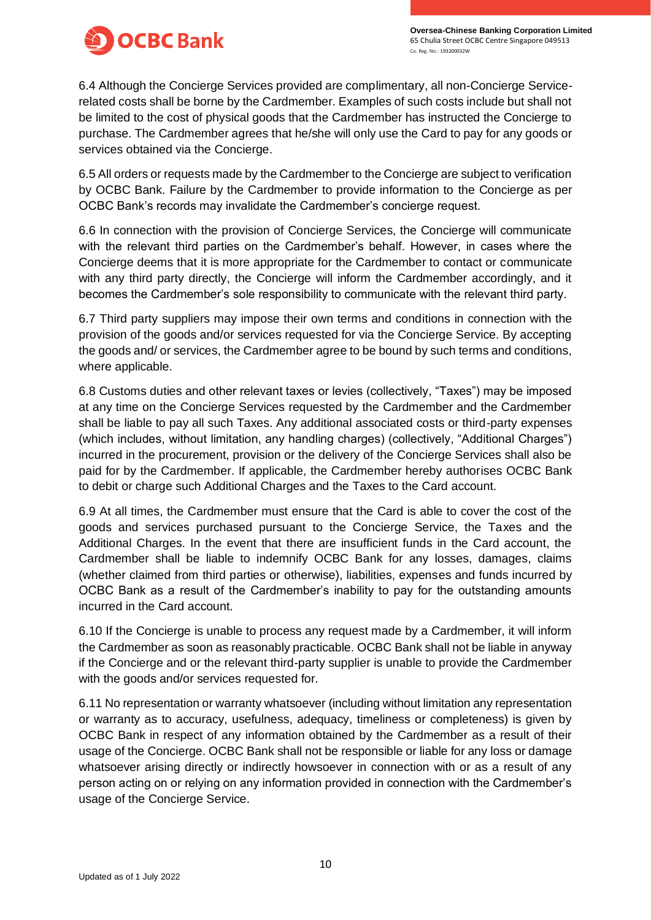

6.4 Although the Concierge Services provided are complimentary, all non-Concierge Servicerelated costs shall be borne by the Cardmember. Examples of such costs include but shall not be limited to the cost of physical goods that the Cardmember has instructed the Concierge to purchase. The Cardmember agrees that he/she will only use the Card to pay for any goods or services obtained via the Concierge.

6.5 All orders or requests made by the Cardmember to the Concierge are subject to verification by OCBC Bank. Failure by the Cardmember to provide information to the Concierge as per OCBC Bank's records may invalidate the Cardmember's concierge request.

6.6 In connection with the provision of Concierge Services, the Concierge will communicate with the relevant third parties on the Cardmember's behalf. However, in cases where the Concierge deems that it is more appropriate for the Cardmember to contact or communicate with any third party directly, the Concierge will inform the Cardmember accordingly, and it becomes the Cardmember's sole responsibility to communicate with the relevant third party.

6.7 Third party suppliers may impose their own terms and conditions in connection with the provision of the goods and/or services requested for via the Concierge Service. By accepting the goods and/ or services, the Cardmember agree to be bound by such terms and conditions, where applicable.

6.8 Customs duties and other relevant taxes or levies (collectively, "Taxes") may be imposed at any time on the Concierge Services requested by the Cardmember and the Cardmember shall be liable to pay all such Taxes. Any additional associated costs or third-party expenses (which includes, without limitation, any handling charges) (collectively, "Additional Charges") incurred in the procurement, provision or the delivery of the Concierge Services shall also be paid for by the Cardmember. If applicable, the Cardmember hereby authorises OCBC Bank to debit or charge such Additional Charges and the Taxes to the Card account.

6.9 At all times, the Cardmember must ensure that the Card is able to cover the cost of the goods and services purchased pursuant to the Concierge Service, the Taxes and the Additional Charges. In the event that there are insufficient funds in the Card account, the Cardmember shall be liable to indemnify OCBC Bank for any losses, damages, claims (whether claimed from third parties or otherwise), liabilities, expenses and funds incurred by OCBC Bank as a result of the Cardmember's inability to pay for the outstanding amounts incurred in the Card account.

6.10 If the Concierge is unable to process any request made by a Cardmember, it will inform the Cardmember as soon as reasonably practicable. OCBC Bank shall not be liable in anyway if the Concierge and or the relevant third-party supplier is unable to provide the Cardmember with the goods and/or services requested for.

6.11 No representation or warranty whatsoever (including without limitation any representation or warranty as to accuracy, usefulness, adequacy, timeliness or completeness) is given by OCBC Bank in respect of any information obtained by the Cardmember as a result of their usage of the Concierge. OCBC Bank shall not be responsible or liable for any loss or damage whatsoever arising directly or indirectly howsoever in connection with or as a result of any person acting on or relying on any information provided in connection with the Cardmember's usage of the Concierge Service.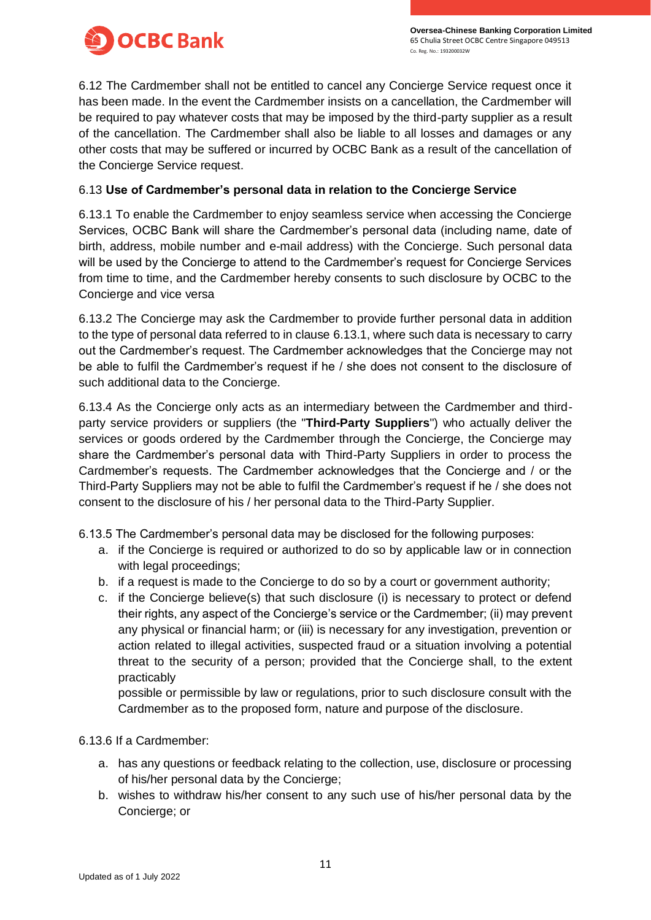

6.12 The Cardmember shall not be entitled to cancel any Concierge Service request once it has been made. In the event the Cardmember insists on a cancellation, the Cardmember will be required to pay whatever costs that may be imposed by the third-party supplier as a result of the cancellation. The Cardmember shall also be liable to all losses and damages or any other costs that may be suffered or incurred by OCBC Bank as a result of the cancellation of the Concierge Service request.

### 6.13 **Use of Cardmember's personal data in relation to the Concierge Service**

6.13.1 To enable the Cardmember to enjoy seamless service when accessing the Concierge Services, OCBC Bank will share the Cardmember's personal data (including name, date of birth, address, mobile number and e-mail address) with the Concierge. Such personal data will be used by the Concierge to attend to the Cardmember's request for Concierge Services from time to time, and the Cardmember hereby consents to such disclosure by OCBC to the Concierge and vice versa

6.13.2 The Concierge may ask the Cardmember to provide further personal data in addition to the type of personal data referred to in clause 6.13.1, where such data is necessary to carry out the Cardmember's request. The Cardmember acknowledges that the Concierge may not be able to fulfil the Cardmember's request if he / she does not consent to the disclosure of such additional data to the Concierge.

6.13.4 As the Concierge only acts as an intermediary between the Cardmember and thirdparty service providers or suppliers (the "**Third-Party Suppliers**") who actually deliver the services or goods ordered by the Cardmember through the Concierge, the Concierge may share the Cardmember's personal data with Third-Party Suppliers in order to process the Cardmember's requests. The Cardmember acknowledges that the Concierge and / or the Third-Party Suppliers may not be able to fulfil the Cardmember's request if he / she does not consent to the disclosure of his / her personal data to the Third-Party Supplier.

6.13.5 The Cardmember's personal data may be disclosed for the following purposes:

- a. if the Concierge is required or authorized to do so by applicable law or in connection with legal proceedings;
- b. if a request is made to the Concierge to do so by a court or government authority;
- c. if the Concierge believe(s) that such disclosure (i) is necessary to protect or defend their rights, any aspect of the Concierge's service or the Cardmember; (ii) may prevent any physical or financial harm; or (iii) is necessary for any investigation, prevention or action related to illegal activities, suspected fraud or a situation involving a potential threat to the security of a person; provided that the Concierge shall, to the extent practicably

possible or permissible by law or regulations, prior to such disclosure consult with the Cardmember as to the proposed form, nature and purpose of the disclosure.

6.13.6 If a Cardmember:

- a. has any questions or feedback relating to the collection, use, disclosure or processing of his/her personal data by the Concierge;
- b. wishes to withdraw his/her consent to any such use of his/her personal data by the Concierge; or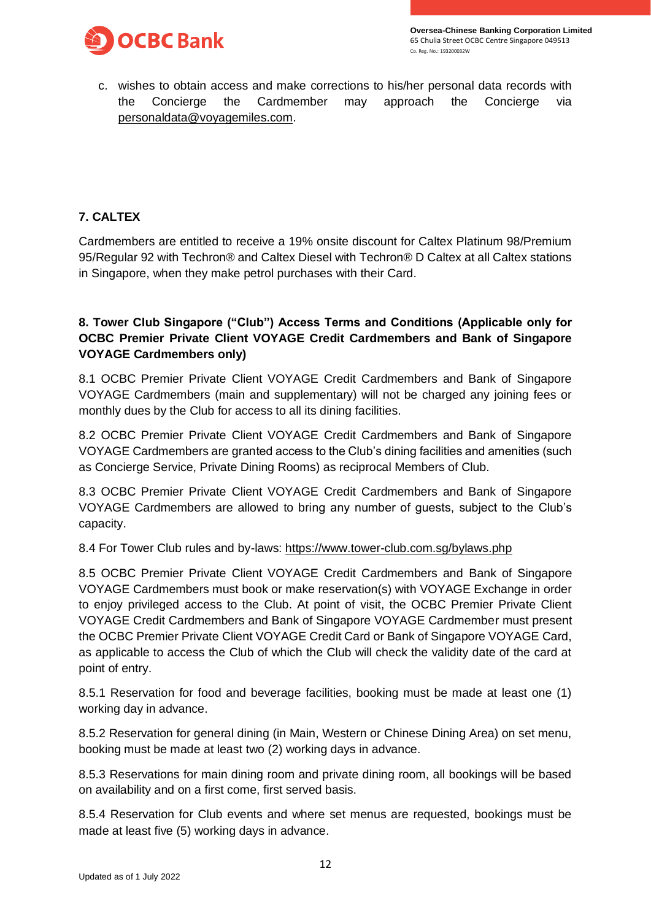



c. wishes to obtain access and make corrections to his/her personal data records with the Concierge the Cardmember may approach the Concierge via [personaldata@voyagemiles.com.](mailto:personaldata@voyagemiles.com)

# **7. CALTEX**

Cardmembers are entitled to receive a 19% onsite discount for Caltex Platinum 98/Premium 95/Regular 92 with Techron® and Caltex Diesel with Techron® D Caltex at all Caltex stations in Singapore, when they make petrol purchases with their Card.

# **8. Tower Club Singapore ("Club") Access Terms and Conditions (Applicable only for OCBC Premier Private Client VOYAGE Credit Cardmembers and Bank of Singapore VOYAGE Cardmembers only)**

8.1 OCBC Premier Private Client VOYAGE Credit Cardmembers and Bank of Singapore VOYAGE Cardmembers (main and supplementary) will not be charged any joining fees or monthly dues by the Club for access to all its dining facilities.

8.2 OCBC Premier Private Client VOYAGE Credit Cardmembers and Bank of Singapore VOYAGE Cardmembers are granted access to the Club's dining facilities and amenities (such as Concierge Service, Private Dining Rooms) as reciprocal Members of Club.

8.3 OCBC Premier Private Client VOYAGE Credit Cardmembers and Bank of Singapore VOYAGE Cardmembers are allowed to bring any number of guests, subject to the Club's capacity.

8.4 For Tower Club rules and by-laws:<https://www.tower-club.com.sg/bylaws.php>

8.5 OCBC Premier Private Client VOYAGE Credit Cardmembers and Bank of Singapore VOYAGE Cardmembers must book or make reservation(s) with VOYAGE Exchange in order to enjoy privileged access to the Club. At point of visit, the OCBC Premier Private Client VOYAGE Credit Cardmembers and Bank of Singapore VOYAGE Cardmember must present the OCBC Premier Private Client VOYAGE Credit Card or Bank of Singapore VOYAGE Card, as applicable to access the Club of which the Club will check the validity date of the card at point of entry.

8.5.1 Reservation for food and beverage facilities, booking must be made at least one (1) working day in advance.

8.5.2 Reservation for general dining (in Main, Western or Chinese Dining Area) on set menu, booking must be made at least two (2) working days in advance.

8.5.3 Reservations for main dining room and private dining room, all bookings will be based on availability and on a first come, first served basis.

8.5.4 Reservation for Club events and where set menus are requested, bookings must be made at least five (5) working days in advance.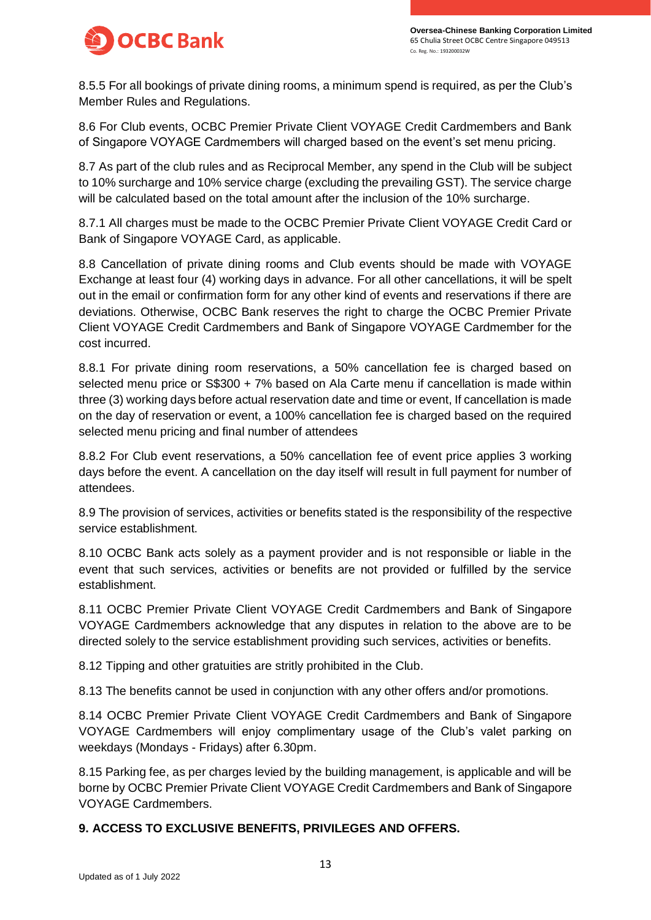

8.5.5 For all bookings of private dining rooms, a minimum spend is required, as per the Club's Member Rules and Regulations.

8.6 For Club events, OCBC Premier Private Client VOYAGE Credit Cardmembers and Bank of Singapore VOYAGE Cardmembers will charged based on the event's set menu pricing.

8.7 As part of the club rules and as Reciprocal Member, any spend in the Club will be subject to 10% surcharge and 10% service charge (excluding the prevailing GST). The service charge will be calculated based on the total amount after the inclusion of the 10% surcharge.

8.7.1 All charges must be made to the OCBC Premier Private Client VOYAGE Credit Card or Bank of Singapore VOYAGE Card, as applicable.

8.8 Cancellation of private dining rooms and Club events should be made with VOYAGE Exchange at least four (4) working days in advance. For all other cancellations, it will be spelt out in the email or confirmation form for any other kind of events and reservations if there are deviations. Otherwise, OCBC Bank reserves the right to charge the OCBC Premier Private Client VOYAGE Credit Cardmembers and Bank of Singapore VOYAGE Cardmember for the cost incurred.

8.8.1 For private dining room reservations, a 50% cancellation fee is charged based on selected menu price or S\$300 + 7% based on Ala Carte menu if cancellation is made within three (3) working days before actual reservation date and time or event, If cancellation is made on the day of reservation or event, a 100% cancellation fee is charged based on the required selected menu pricing and final number of attendees

8.8.2 For Club event reservations, a 50% cancellation fee of event price applies 3 working days before the event. A cancellation on the day itself will result in full payment for number of attendees.

8.9 The provision of services, activities or benefits stated is the responsibility of the respective service establishment.

8.10 OCBC Bank acts solely as a payment provider and is not responsible or liable in the event that such services, activities or benefits are not provided or fulfilled by the service establishment.

8.11 OCBC Premier Private Client VOYAGE Credit Cardmembers and Bank of Singapore VOYAGE Cardmembers acknowledge that any disputes in relation to the above are to be directed solely to the service establishment providing such services, activities or benefits.

8.12 Tipping and other gratuities are stritly prohibited in the Club.

8.13 The benefits cannot be used in conjunction with any other offers and/or promotions.

8.14 OCBC Premier Private Client VOYAGE Credit Cardmembers and Bank of Singapore VOYAGE Cardmembers will enjoy complimentary usage of the Club's valet parking on weekdays (Mondays - Fridays) after 6.30pm.

8.15 Parking fee, as per charges levied by the building management, is applicable and will be borne by OCBC Premier Private Client VOYAGE Credit Cardmembers and Bank of Singapore VOYAGE Cardmembers.

## **9. ACCESS TO EXCLUSIVE BENEFITS, PRIVILEGES AND OFFERS.**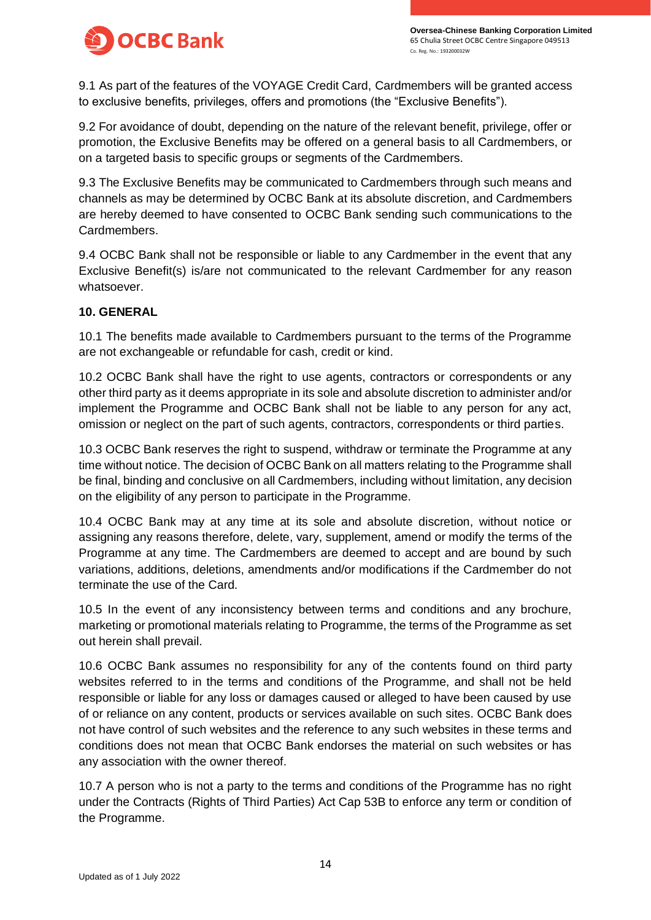



9.1 As part of the features of the VOYAGE Credit Card, Cardmembers will be granted access to exclusive benefits, privileges, offers and promotions (the "Exclusive Benefits").

9.2 For avoidance of doubt, depending on the nature of the relevant benefit, privilege, offer or promotion, the Exclusive Benefits may be offered on a general basis to all Cardmembers, or on a targeted basis to specific groups or segments of the Cardmembers.

9.3 The Exclusive Benefits may be communicated to Cardmembers through such means and channels as may be determined by OCBC Bank at its absolute discretion, and Cardmembers are hereby deemed to have consented to OCBC Bank sending such communications to the Cardmembers.

9.4 OCBC Bank shall not be responsible or liable to any Cardmember in the event that any Exclusive Benefit(s) is/are not communicated to the relevant Cardmember for any reason whatsoever.

### **10. GENERAL**

10.1 The benefits made available to Cardmembers pursuant to the terms of the Programme are not exchangeable or refundable for cash, credit or kind.

10.2 OCBC Bank shall have the right to use agents, contractors or correspondents or any other third party as it deems appropriate in its sole and absolute discretion to administer and/or implement the Programme and OCBC Bank shall not be liable to any person for any act, omission or neglect on the part of such agents, contractors, correspondents or third parties.

10.3 OCBC Bank reserves the right to suspend, withdraw or terminate the Programme at any time without notice. The decision of OCBC Bank on all matters relating to the Programme shall be final, binding and conclusive on all Cardmembers, including without limitation, any decision on the eligibility of any person to participate in the Programme.

10.4 OCBC Bank may at any time at its sole and absolute discretion, without notice or assigning any reasons therefore, delete, vary, supplement, amend or modify the terms of the Programme at any time. The Cardmembers are deemed to accept and are bound by such variations, additions, deletions, amendments and/or modifications if the Cardmember do not terminate the use of the Card.

10.5 In the event of any inconsistency between terms and conditions and any brochure, marketing or promotional materials relating to Programme, the terms of the Programme as set out herein shall prevail.

10.6 OCBC Bank assumes no responsibility for any of the contents found on third party websites referred to in the terms and conditions of the Programme, and shall not be held responsible or liable for any loss or damages caused or alleged to have been caused by use of or reliance on any content, products or services available on such sites. OCBC Bank does not have control of such websites and the reference to any such websites in these terms and conditions does not mean that OCBC Bank endorses the material on such websites or has any association with the owner thereof.

10.7 A person who is not a party to the terms and conditions of the Programme has no right under the Contracts (Rights of Third Parties) Act Cap 53B to enforce any term or condition of the Programme.